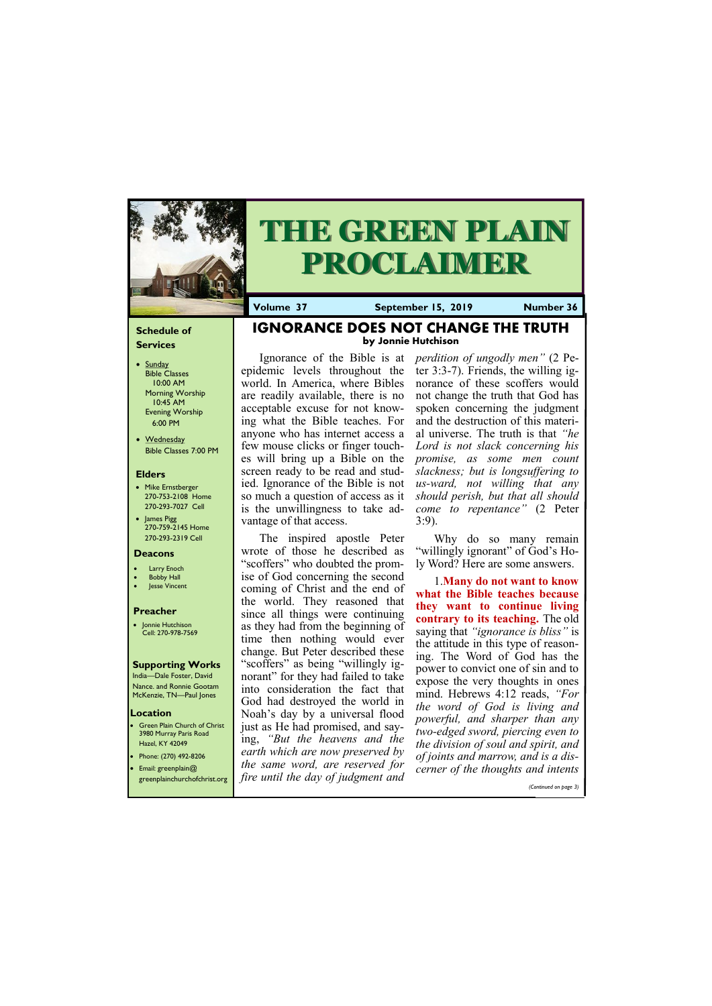#### **Schedule of Services**

- Sunday Bible Classes 10:00 AM Morning Worship 10:45 AM Evening Worship 6:00 PM
- Wednesday Bible Classes 7:00 PM

#### **Elders**

- Mike Ernstberger 270-753-2108 Home 270-293-7027 Cell
- James Pigg 270-759-2145 Home 270-293-2319 Cell



# **THE GREEN PLAIN PROCLAIMER**

#### **Location**

• Green Plain Church of Christ 3980 Murray Paris Road Hazel, KY 42049 • Phone: (270) 492-8206

**Volume 37 September 15, 2019 Number 36**

#### **Deacons**

- **Larry Enoch**
- **Bobby Hall**
- Jesse Vincent

#### **Preacher**

• Jonnie Hutchison Cell: 270-978-7569

#### **Supporting Works**

India—Dale Foster, David Nance. and Ronnie Gootam McKenzie, TN—Paul Jones

**IGNORANCE DOES NOT CHANGE THE TRUTH by Jonnie Hutchison**

epidemic levels throughout the world. In America, where Bibles are readily available, there is no acceptable excuse for not knowing what the Bible teaches. For anyone who has internet access a few mouse clicks or finger touches will bring up a Bible on the screen ready to be read and studied. Ignorance of the Bible is not so much a question of access as it is the unwillingness to take advantage of that access.

The inspired apostle Peter wrote of those he described as "scoffers" who doubted the promise of God concerning the second coming of Christ and the end of the world. They reasoned that since all things were continuing as they had from the beginning of time then nothing would ever change. But Peter described these "scoffers" as being "willingly ignorant" for they had failed to take into consideration the fact that God had destroyed the world in Noah's day by a universal flood just as He had promised, and saying, *"But the heavens and the earth which are now preserved by* 

Ignorance of the Bible is at *perdition of ungodly men"* (2 Peter 3:3-7). Friends, the willing ignorance of these scoffers would not change the truth that God has spoken concerning the judgment and the destruction of this material universe. The truth is that *"he Lord is not slack concerning his promise, as some men count slackness; but is longsuffering to us-ward, not willing that any should perish, but that all should come to repentance"* (2 Peter 3:9).

| <b>•</b> Email: greenplain@  | the same word, are reserved for    | <u><sub>o</sub> joinus and man on, and is a als</u> |
|------------------------------|------------------------------------|-----------------------------------------------------|
| greenplainchurchofchrist.org | fire until the day of judgment and | cerner of the thoughts and intents                  |
|                              |                                    | (Continued on page 3)                               |

Why do so many remain "willingly ignorant" of God's Holy Word? Here are some answers.

1.**Many do not want to know what the Bible teaches because they want to continue living contrary to its teaching.** The old saying that *"ignorance is bliss"* is the attitude in this type of reasoning. The Word of God has the power to convict one of sin and to expose the very thoughts in ones mind. Hebrews 4:12 reads, *"For the word of God is living and powerful, and sharper than any two-edged sword, piercing even to the division of soul and spirit, and of joints and marrow, and is a dis-*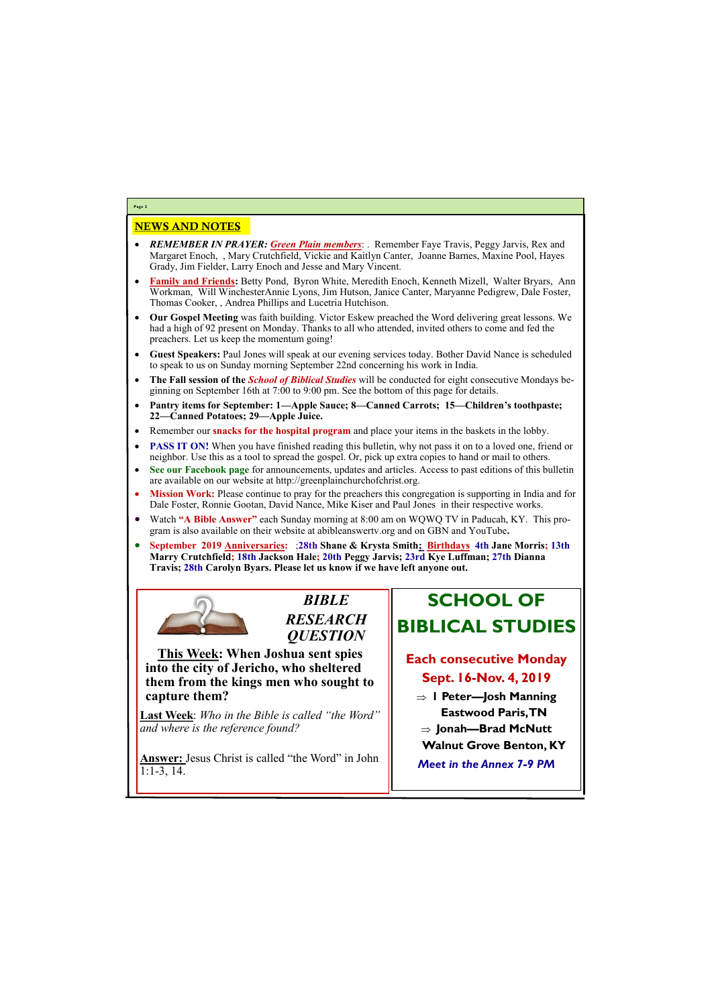## NEWS AND NOTES

- *REMEMBER IN PRAYER: Green Plain members*: . Remember Faye Travis, Peggy Jarvis, Rex and Margaret Enoch, , Mary Crutchfield, Vickie and Kaitlyn Canter, Joanne Barnes, Maxine Pool, Hayes Grady, Jim Fielder, Larry Enoch and Jesse and Mary Vincent.
- **Family and Friends:** Betty Pond, Byron White, Meredith Enoch, Kenneth Mizell, Walter Bryars, Ann Workman, Will WinchesterAnnie Lyons, Jim Hutson, Janice Canter, Maryanne Pedigrew, Dale Foster, Thomas Cooker, , Andrea Phillips and Lucetria Hutchison.
- **Our Gospel Meeting** was faith building. Victor Eskew preached the Word delivering great lessons. We had a high of 92 present on Monday. Thanks to all who attended, invited others to come and fed the preachers. Let us keep the momentum going!
- **Guest Speakers:** Paul Jones will speak at our evening services today. Bother David Nance is scheduled to speak to us on Sunday morning September 22nd concerning his work in India.
- **The Fall session of the** *School of Biblical Studies* will be conducted for eight consecutive Mondays beginning on September 16th at 7:00 to 9:00 pm. See the bottom of this page for details.
- **Pantry items for September: 1—Apple Sauce; 8—Canned Carrots; 15—Children's toothpaste; 22—Canned Potatoes; 29—Apple Juice.**
- Remember our **snacks for the hospital program** and place your items in the baskets in the lobby.
- **PASS IT ON!** When you have finished reading this bulletin, why not pass it on to a loved one, friend or neighbor. Use this as a tool to spread the gospel. Or, pick up extra copies to hand or mail to others.
- **See our Facebook page** for announcements, updates and articles. Access to past editions of this bulletin are available on our website at http://greenplainchurchofchrist.org.
- **Mission Work:** Please continue to pray for the preachers this congregation is supporting in India and for Dale Foster, Ronnie Gootan, David Nance, Mike Kiser and Paul Jones in their respective works.
- Watch **"A Bible Answer"** each Sunday morning at 8:00 am on WQWQ TV in Paducah, KY. This program is also available on their website at abibleanswertv.org and on GBN and YouTube**.**
- **September 2019 Anniversaries:** ;**28th Shane & Krysta Smith; Birthdays 4th Jane Morris; 13th Marry Crutchfield; 18th Jackson Hale; 20th Peggy Jarvis; 23rd Kye Luffman; 27th Dianna Travis; 28th Carolyn Byars. Please let us know if we have left anyone out.**



**Page 2**

*BIBLE RESEARCH QUESTION*

**This Week: When Joshua sent spies into the city of Jericho, who sheltered them from the kings men who sought to capture them?**

**Last Week**: *Who in the Bible is called "the Word" and where is the reference found?*

**Answer:** Jesus Christ is called "the Word" in John



# **SCHOOL OF BIBLICAL STUDIES**

### **Each consecutive Monday Sept. 16-Nov. 4, 2019**

- **1 Peter—Josh Manning Eastwood Paris, TN**
- **Jonah—Brad McNutt**
- **Walnut Grove Benton, KY**
- 

*Meet in the Annex 7-9 PM*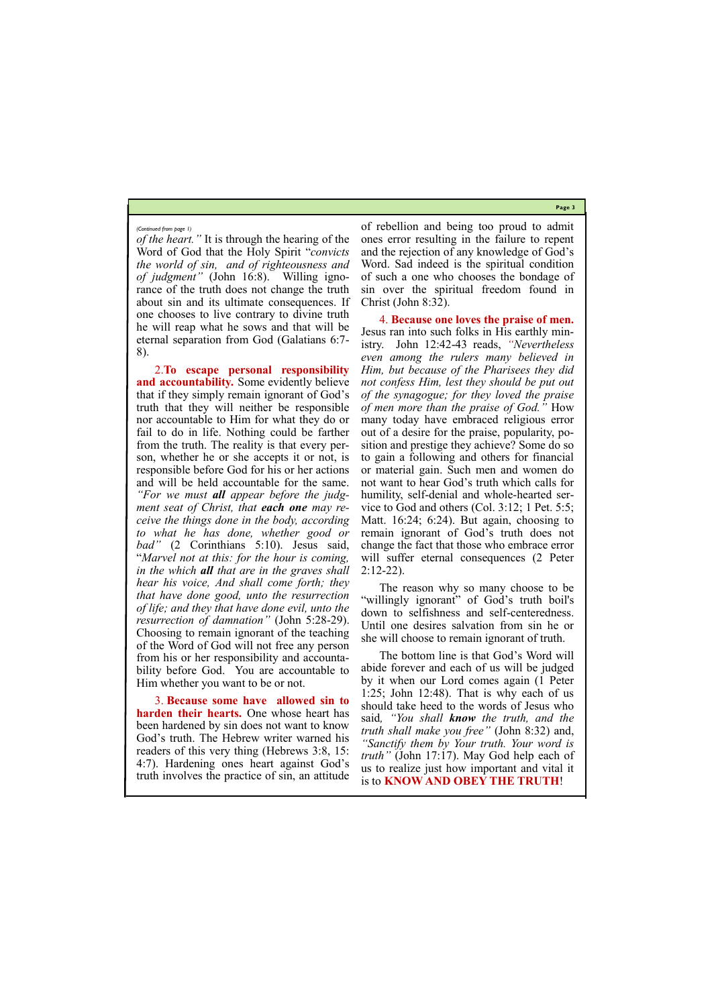**Page 3**

*of the heart."* It is through the hearing of the Word of God that the Holy Spirit "*convicts the world of sin, and of righteousness and of judgment"* (John 16:8). Willing ignorance of the truth does not change the truth about sin and its ultimate consequences. If one chooses to live contrary to divine truth he will reap what he sows and that will be eternal separation from God (Galatians 6:7- 8).

2.**To escape personal responsibility and accountability.** Some evidently believe that if they simply remain ignorant of God's truth that they will neither be responsible nor accountable to Him for what they do or fail to do in life. Nothing could be farther from the truth. The reality is that every person, whether he or she accepts it or not, is responsible before God for his or her actions and will be held accountable for the same. *"For we must all appear before the judgment seat of Christ, that each one may receive the things done in the body, according to what he has done, whether good or bad"* (2 Corinthians 5:10). Jesus said, "*Marvel not at this: for the hour is coming, in the which all that are in the graves shall hear his voice, And shall come forth; they that have done good, unto the resurrection of life; and they that have done evil, unto the resurrection of damnation"* (John 5:28-29). Choosing to remain ignorant of the teaching of the Word of God will not free any person from his or her responsibility and accountability before God. You are accountable to Him whether you want to be or not.

of rebellion and being too proud to admit ones error resulting in the failure to repent and the rejection of any knowledge of God's Word. Sad indeed is the spiritual condition of such a one who chooses the bondage of sin over the spiritual freedom found in Christ (John 8:32).

4. **Because one loves the praise of men.**  Jesus ran into such folks in His earthly ministry. John 12:42-43 reads, *"Nevertheless even among the rulers many believed in Him, but because of the Pharisees they did not confess Him, lest they should be put out of the synagogue; for they loved the praise of men more than the praise of God."* How many today have embraced religious error out of a desire for the praise, popularity, position and prestige they achieve? Some do so to gain a following and others for financial or material gain. Such men and women do not want to hear God's truth which calls for humility, self-denial and whole-hearted service to God and others (Col. 3:12; 1 Pet. 5:5; Matt. 16:24; 6:24). But again, choosing to remain ignorant of God's truth does not change the fact that those who embrace error will suffer eternal consequences (2 Peter 2:12-22).

3. **Because some have allowed sin to harden their hearts.** One whose heart has been hardened by sin does not want to know God's truth. The Hebrew writer warned his readers of this very thing (Hebrews 3:8, 15: 4:7). Hardening ones heart against God's truth involves the practice of sin, an attitude should take heed to the words of Jesus who said*, "You shall know the truth, and the truth shall make you free"* (John 8:32) and, *"Sanctify them by Your truth. Your word is truth"* (John 17:17). May God help each of us to realize just how important and vital it is to **KNOW AND OBEY THE TRUTH**!

The reason why so many choose to be "willingly ignorant" of God's truth boil's down to selfishness and self-centeredness. Until one desires salvation from sin he or she will choose to remain ignorant of truth.

The bottom line is that God's Word will abide forever and each of us will be judged by it when our Lord comes again (1 Peter 1:25; John 12:48). That is why each of us

#### *(Continued from page 1)*